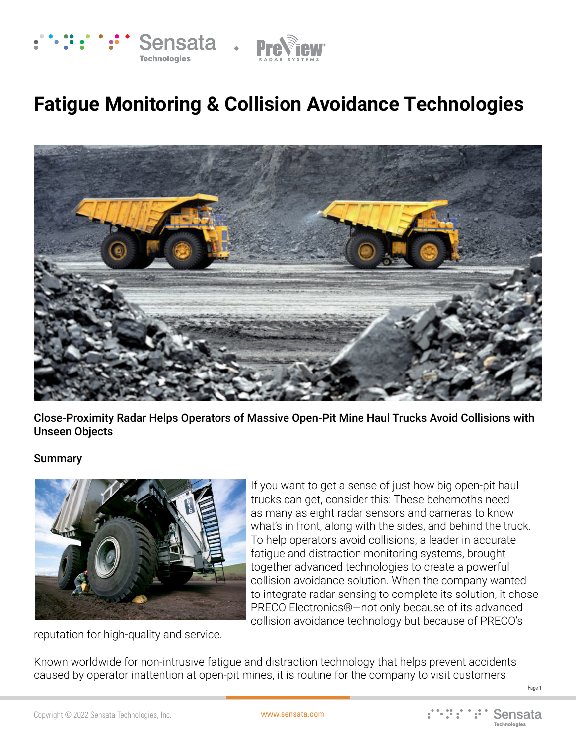

# **Fatigue Monitoring & Collision Avoidance Technologies**



Close-Proximity Radar Helps Operators of Massive Open-Pit Mine Haul Trucks Avoid Collisions with Unseen Objects

#### Summary



If you want to get a sense of just how big open-pit haul trucks can get, consider this: These behemoths need as many as eight radar sensors and cameras to know what's in front, along with the sides, and behind the truck. To help operators avoid collisions, a leader in accurate fatigue and distraction monitoring systems, brought together advanced technologies to create a powerful collision avoidance solution. When the company wanted to integrate radar sensing to complete its solution, it chose PRECO Electronics®—not only because of its advanced collision avoidance technology but because of PRECO's

reputation for high-quality and service.

Known worldwide for non-intrusive fatigue and distraction technology that helps prevent accidents caused by operator inattention at open-pit mines, it is routine for the company to visit customers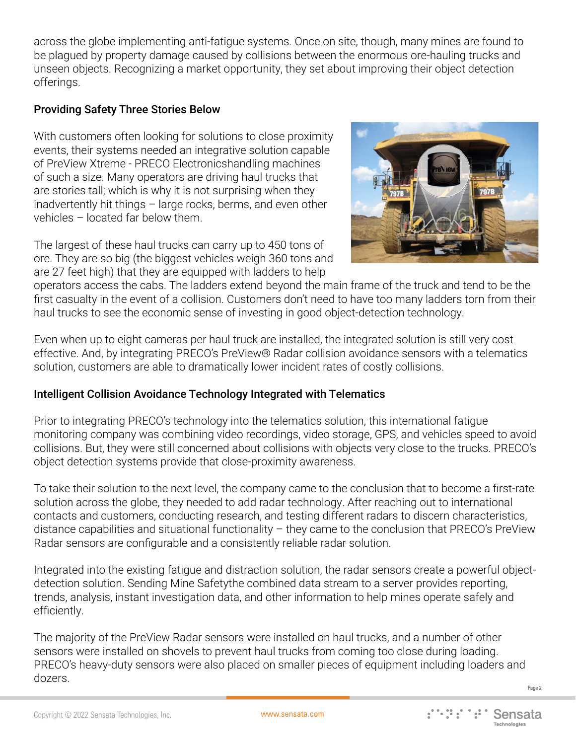across the globe implementing anti-fatigue systems. Once on site, though, many mines are found to be plagued by property damage caused by collisions between the enormous ore-hauling trucks and unseen objects. Recognizing a market opportunity, they set about improving their object detection offerings.

# Providing Safety Three Stories Below

With customers often looking for solutions to close proximity events, their systems needed an integrative solution capable of PreView Xtreme - PRECO Electronicshandling machines of such a size. Many operators are driving haul trucks that are stories tall; which is why it is not surprising when they inadvertently hit things – large rocks, berms, and even other vehicles – located far below them.

The largest of these haul trucks can carry up to 450 tons of ore. They are so big (the biggest vehicles weigh 360 tons and are 27 feet high) that they are equipped with ladders to help



operators access the cabs. The ladders extend beyond the main frame of the truck and tend to be the first casualty in the event of a collision. Customers don't need to have too many ladders torn from their haul trucks to see the economic sense of investing in good object-detection technology.

Even when up to eight cameras per haul truck are installed, the integrated solution is still very cost effective. And, by integrating PRECO's PreView® Radar collision avoidance sensors with a telematics solution, customers are able to dramatically lower incident rates of costly collisions.

## Intelligent Collision Avoidance Technology Integrated with Telematics

Prior to integrating PRECO's technology into the telematics solution, this international fatigue monitoring company was combining video recordings, video storage, GPS, and vehicles speed to avoid collisions. But, they were still concerned about collisions with objects very close to the trucks. PRECO's object detection systems provide that close-proximity awareness.

To take their solution to the next level, the company came to the conclusion that to become a first-rate solution across the globe, they needed to add radar technology. After reaching out to international contacts and customers, conducting research, and testing different radars to discern characteristics, distance capabilities and situational functionality – they came to the conclusion that PRECO's PreView Radar sensors are configurable and a consistently reliable radar solution.

Integrated into the existing fatigue and distraction solution, the radar sensors create a powerful objectdetection solution. Sending Mine Safetythe combined data stream to a server provides reporting, trends, analysis, instant investigation data, and other information to help mines operate safely and efficiently.

The majority of the PreView Radar sensors were installed on haul trucks, and a number of other sensors were installed on shovels to prevent haul trucks from coming too close during loading. PRECO's heavy-duty sensors were also placed on smaller pieces of equipment including loaders and dozers.